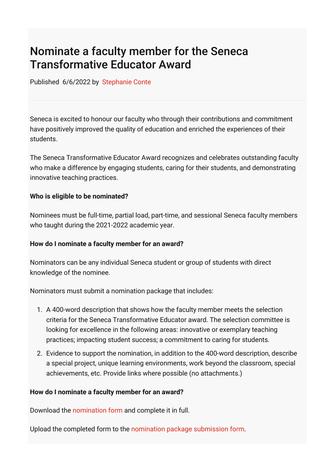# Nominate a faculty member for the Seneca Transformative Educator Award

Published 6/6/2022 by [Stephanie Conte](https://students.senecacollege.ca/people/stephanie-conte)

Seneca is excited to honour our faculty who through their contributions and commitment have positively improved the quality of education and enriched the experiences of their students.

The Seneca Transformative Educator Award recognizes and celebrates outstanding faculty who make a difference by engaging students, caring for their students, and demonstrating innovative teaching practices.

## **Who is eligible to be nominated?**

Nominees must be full-time, partial load, part-time, and sessional Seneca faculty members who taught during the 2021-2022 academic year.

### **How do I nominate a faculty member for an award?**

Nominators can be any individual Seneca student or group of students with direct knowledge of the nominee.

Nominators must submit a nomination package that includes:

- 1. A 400-word description that shows how the faculty member meets the selection criteria for the Seneca Transformative Educator award. The selection committee is looking for excellence in the following areas: innovative or exemplary teaching practices; impacting student success; a commitment to caring for students.
- 2. Evidence to support the nomination, in addition to the 400-word description, describe a special project, unique learning environments, work beyond the classroom, special achievements, etc. Provide links where possible (no attachments.)

### **How do I nominate a faculty member for an award?**

Download the [nomination form](https://seneca-my.sharepoint.com/:w:/g/personal/ashley_ribbel_senecacollege_ca/EX-pGI3Yq8BHl4cgavD0ankBeYTqOnH7XbMxyEvbfAxQ7w?e=55yzrZ) and complete it in full.

Upload the completed form to the [nomination package submission form](https://forms.office.com/r/8WAevGcHKW).